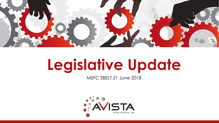

# **Legislative Update**

MSFC SBELT 21 June 2018

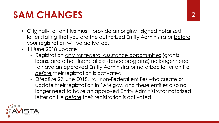## SAM CHANGES 2

- Originally, all entities must "provide an original, signed notarized letter stating that you are the authorized Entity Administrator before your registration will be activated."
- 11June 2018 Update
	- Registration only for federal assistance opportunities (grants, loans, and other financial assistance programs) no longer need to have an approved Entity Administrator notarized letter on file *before* their registration is activated.
	- Effective 29June 2018, "all non-Federal entities who create or update their registration in SAM.gov, and these entities also no longer need to have an approved Entity Administrator notarized letter on file *before* their registration is activated."

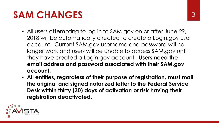## SAM CHANGES 3

- All users attempting to log in to SAM.gov on or after June 29, 2018 will be automatically directed to create a Login.gov user account. Current SAM.gov username and password will no longer work and users will be unable to access SAM.gov until they have created a Login.gov account. **Users need the email address and password associated with their SAM.gov account.**
- **All entities, regardless of their purpose of registration, must mail the original and signed notarized letter to the Federal Service Desk within thirty (30) days of activation or risk having their registration deactivated.**

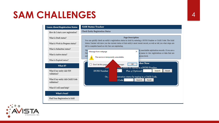### SAM CHALLENGES 4

 $\overline{\phantom{a}}$ 

L

L

| <b>Learn About Registration Status</b>           | <b>SAM Status Tracker</b>                                                                                                                                                      |  |  |  |
|--------------------------------------------------|--------------------------------------------------------------------------------------------------------------------------------------------------------------------------------|--|--|--|
| How do I start a new registration?               | Check Entity Registration Status                                                                                                                                               |  |  |  |
| What is Draft status?                            | <b>Page Description</b><br>You can quickly check an entity's registration status in SAM by entering a DUNS Number or CAGE Code. The SAM                                        |  |  |  |
| What is Work in Progress status?                 | Status Tracker will show you the current status of that entity's most recent record, as well as tell you what steps are<br>left to complete based on why they are registering. |  |  |  |
| What is Submitted status?                        | ly-searchable registration records. If you are a<br>The<br>$\times$                                                                                                            |  |  |  |
| What is Active status?                           | Message from webpage<br>on menu to view registrations or data that are<br>Fed<br>access level.<br>not                                                                          |  |  |  |
| What is Expired status?                          | The service is temporarily unavailable.                                                                                                                                        |  |  |  |
| What If?                                         | cker Now<br>OK<br>Don't let this page<br>essages<br>auon status by typing in a DUNS Number.<br><b>VIICI</b>                                                                    |  |  |  |
| What if my entity fails TIN<br>validation?       | <b>DUNS Number</b><br>Reset<br>.5<br>Plus 4 (Optional)<br>Search                                                                                                               |  |  |  |
| What if my entity fails CAGE Code<br>validation? | istration status by typing in a CAGE Code.<br>Or, G<br>$\mathsf{Code}\$<br>Search<br>Reset                                                                                     |  |  |  |
| What if I still need help?                       |                                                                                                                                                                                |  |  |  |
| <b>What's Next?</b>                              |                                                                                                                                                                                |  |  |  |
| Find Your Registration in SAM                    |                                                                                                                                                                                |  |  |  |
|                                                  |                                                                                                                                                                                |  |  |  |

 $\bullet$   $\bullet$  $\bullet$  : STRATEGIES INC.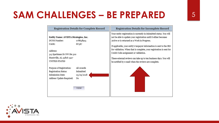### **SAM CHALLENGES – BE PREPARED** <sup>5</sup>

| <b>Registration Details for Complete Record</b>                                                  |                                                            | <b>Registration Details for Incomplete Record</b>                                                                                                                                                                                                                                                                |  |
|--------------------------------------------------------------------------------------------------|------------------------------------------------------------|------------------------------------------------------------------------------------------------------------------------------------------------------------------------------------------------------------------------------------------------------------------------------------------------------------------|--|
| Entity Name: AVISTA Strategies, Inc.<br>DUNS Number:<br>CAGE:                                    | 078658915<br>6U5S7                                         | Your entity registration is currently in Submitted status. You will<br>not be able to update your registration until it either becomes<br>Active or is returned as a Work in Progress.                                                                                                                           |  |
| Address:<br>515 Sparkman Dr NW Ste 302<br>Huntsville, AL 35816-3417<br><b>UNITED STATES</b>      |                                                            | If applicable, your entity's taxpayer information is sent to the IRS<br>for validation. When that is complete, your registration is sent for<br>CAGE Code assignment or validation.<br>These external reviews can take up to ten business days. You will<br>be notified by e-mail when the reviews are complete. |  |
| Purpose of Registration:<br>Registration Status:<br>Submission Date:<br>Address Update Required: | All Awards<br>Submitted<br>05/09/2018<br>No<br><b>VIEW</b> |                                                                                                                                                                                                                                                                                                                  |  |
|                                                                                                  |                                                            |                                                                                                                                                                                                                                                                                                                  |  |

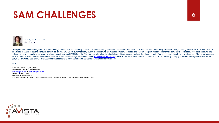### SAM CHALLENGES 6



The System for Award Management is a required registration for all entities doing business with the federal government. It was hacked a while back and has been undergoing fixes ever since, including a notarized letter whic be validated. Another major overhaul is scheduled for June 29. So I'm sure that many NCMA members who are managing federal contracts are encountering difficulties updating their company's registration. If you are encounter delays, especially if you have an award pending, contact your local PTAC for help. They are spearheading the efforts to get this mess corrected and they have current information on what works and what doesn't. They also en us to spread the word that they have access to an expedited review in urgent situations. Go to http://www.aptac-us.org and click your location on the map to see the list of people ready to help you. Do not pay anybody to d you, the PTAP is funded by DLA and local host organizations to serve government contractors with technical assistance.

### -sue.

Elinor Sue Coates, BS, MPA, PhD Procurement Educator & NCMA Fellow escoates@unm.edu or escoates@gmail.com Cell/text: 501-617-0598 Home/office: 505-266-2115 Education is the ability to listen to almost anything without losing your temper or your self-confidence. (Robert Frost)

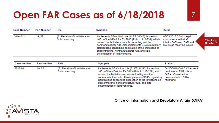### **Open FAR Cases as of 6/18/2018** 7

| <b>Case Number</b> | <b>Part Number</b> | Title                                            | Synopsis                                                                                                                                                                                                                                                                                                                                                                           | <b>Status</b>                                                                                               |                         |
|--------------------|--------------------|--------------------------------------------------|------------------------------------------------------------------------------------------------------------------------------------------------------------------------------------------------------------------------------------------------------------------------------------------------------------------------------------------------------------------------------------|-------------------------------------------------------------------------------------------------------------|-------------------------|
| 2016-011           | 19, 52             | (S) Revision of Limitations on<br>Subcontracting | Implements SBA's final rule (81 FR 34243) for section<br>1651 of the NDAA for FY 2013 (Pub. L. 112-239), which<br>revised the limitations on subcontracting and the<br>nonmanufacturer rule. Also implements SBA's regulatory<br>clarifications concerning application of the limitations on<br>subcontracting, nonmanufacturer rule, and size<br>determination of joint ventures. | 06/05/2017 CAAC Legal<br>concurrence with draft<br>interim FAR rule. FAR and<br>DAR staff resolving issues. | "Similarly<br>Situated" |

| <b>Case Number</b> | <b>Part Number</b> | Title                                            | Synopsis                                                                                                                                                                                                                                                                                                                                                                           | <b>Status</b>                                                                                                      |
|--------------------|--------------------|--------------------------------------------------|------------------------------------------------------------------------------------------------------------------------------------------------------------------------------------------------------------------------------------------------------------------------------------------------------------------------------------------------------------------------------------|--------------------------------------------------------------------------------------------------------------------|
| 2016-011           | 19, 52             | (S) Revision of Limitations on<br>Subcontracting | Implements SBA's final rule (81 FR 34243) for section<br>1651 of the NDAA for FY 2013 (Pub. L. 112-239), which<br>revised the limitations on subcontracting and the<br>nonmanufacturer rule. Also implements SBA's regulatory<br>clarifications concerning application of the limitations on<br>subcontracting, nonmanufacturer rule, and size<br>determination of joint ventures. | 04/20/2018 CAAC Chair sent<br>draft interim FAR rule to<br>OIRA. Converted to<br>proposed rule. OIRA<br>reviewing. |

### **Office of Information and Regulatory Affairs (OIRA)**

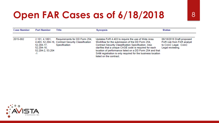### **Open FAR Cases as of 6/18/2018** 8

| <b>Case Number</b> | <b>Part Number</b>                                                   | Title                                                                                                | Synopsis                                                                                                                                                                                                                                                                                                                                                                     | <b>Status</b>                                                                                     |
|--------------------|----------------------------------------------------------------------|------------------------------------------------------------------------------------------------------|------------------------------------------------------------------------------------------------------------------------------------------------------------------------------------------------------------------------------------------------------------------------------------------------------------------------------------------------------------------------------|---------------------------------------------------------------------------------------------------|
|                    |                                                                      |                                                                                                      |                                                                                                                                                                                                                                                                                                                                                                              |                                                                                                   |
| 2015-002           | 2.101, 4.1801,<br>52.204-17.<br>52.204-18.<br>52.204-2, 53.204<br>-1 | Requirements for DD Form 254,<br>4.403, 52.204-16, Contract Security Classification<br>Specification | Updates FAR 4.403 to require the use of Wide Area<br>Workflow for the submission of the DD Form 254,<br>Contract Security Classification Specification. Also<br>clarifies that a unique CAGE code is required for each<br>location of performance listed on a DD Form 254 and that<br>SAM registration is only required for the business location<br>listed on the contract. | 06/18/2018 Draft proposed<br>FAR rule from FAR analyst<br>to CAAC Legal. CAAC<br>Legal reviewing. |